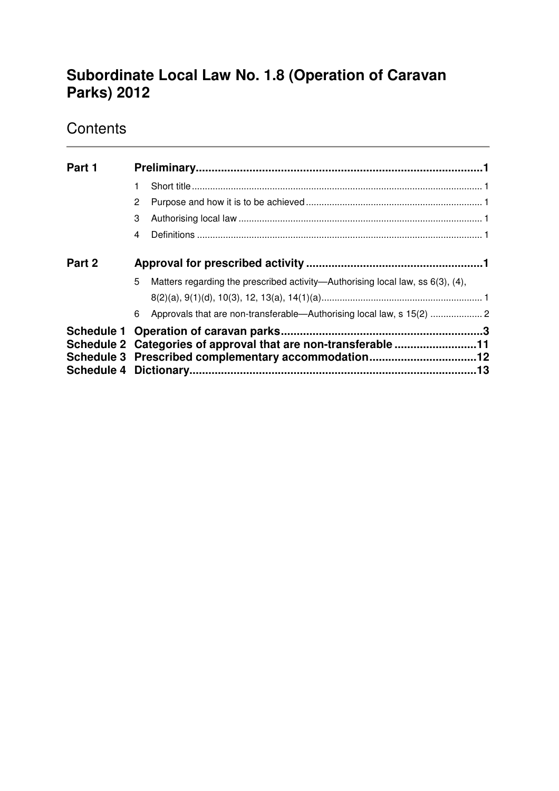# **Subordinate Local Law No. 1.8 (Operation of Caravan Parks) 2012**

# **Contents**

| Part 1 |                                                                                                                       |                                                                                |  |  |
|--------|-----------------------------------------------------------------------------------------------------------------------|--------------------------------------------------------------------------------|--|--|
|        |                                                                                                                       |                                                                                |  |  |
|        | 2                                                                                                                     |                                                                                |  |  |
|        | 3                                                                                                                     |                                                                                |  |  |
|        | 4                                                                                                                     |                                                                                |  |  |
| Part 2 |                                                                                                                       |                                                                                |  |  |
|        | 5                                                                                                                     | Matters regarding the prescribed activity—Authorising local law, ss 6(3), (4), |  |  |
|        |                                                                                                                       |                                                                                |  |  |
|        | 6                                                                                                                     | Approvals that are non-transferable-Authorising local law, s 15(2)  2          |  |  |
|        |                                                                                                                       |                                                                                |  |  |
|        | Schedule 2 Categories of approval that are non-transferable 11<br>Schedule 3 Prescribed complementary accommodation12 |                                                                                |  |  |
|        |                                                                                                                       |                                                                                |  |  |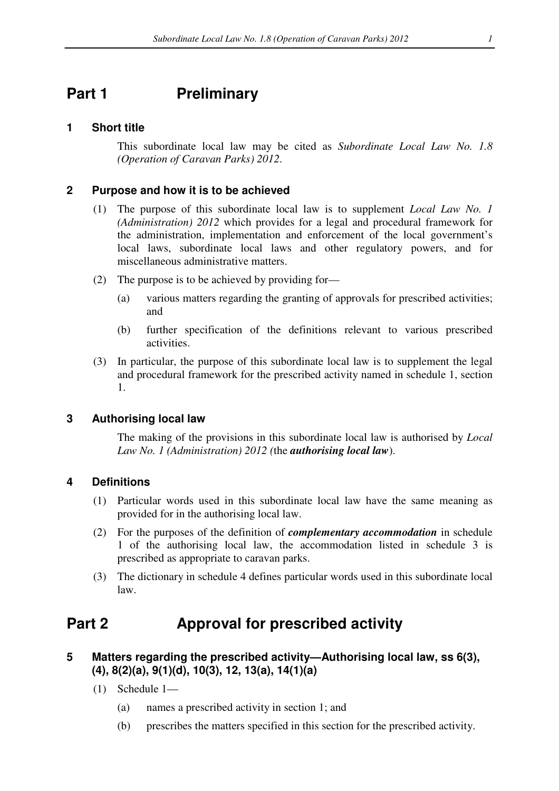## **Part 1** Preliminary

## **1 Short title**

This subordinate local law may be cited as *Subordinate Local Law No. 1.8 (Operation of Caravan Parks) 2012*.

### **2 Purpose and how it is to be achieved**

- (1) The purpose of this subordinate local law is to supplement *Local Law No. 1 (Administration) 2012* which provides for a legal and procedural framework for the administration, implementation and enforcement of the local government's local laws, subordinate local laws and other regulatory powers, and for miscellaneous administrative matters.
- (2) The purpose is to be achieved by providing for—
	- (a) various matters regarding the granting of approvals for prescribed activities; and
	- (b) further specification of the definitions relevant to various prescribed activities.
- (3) In particular, the purpose of this subordinate local law is to supplement the legal and procedural framework for the prescribed activity named in schedule 1, section 1.

### **3 Authorising local law**

The making of the provisions in this subordinate local law is authorised by *Local Law No. 1 (Administration) 2012 (*the *authorising local law*).

### **4 Definitions**

- (1) Particular words used in this subordinate local law have the same meaning as provided for in the authorising local law.
- (2) For the purposes of the definition of *complementary accommodation* in schedule 1 of the authorising local law, the accommodation listed in schedule 3 is prescribed as appropriate to caravan parks.
- (3) The dictionary in schedule 4 defines particular words used in this subordinate local law.

## **Part 2 Approval for prescribed activity**

- **5 Matters regarding the prescribed activity—Authorising local law, ss 6(3), (4), 8(2)(a), 9(1)(d), 10(3), 12, 13(a), 14(1)(a)** 
	- (1) Schedule 1—
		- (a) names a prescribed activity in section 1; and
		- (b) prescribes the matters specified in this section for the prescribed activity.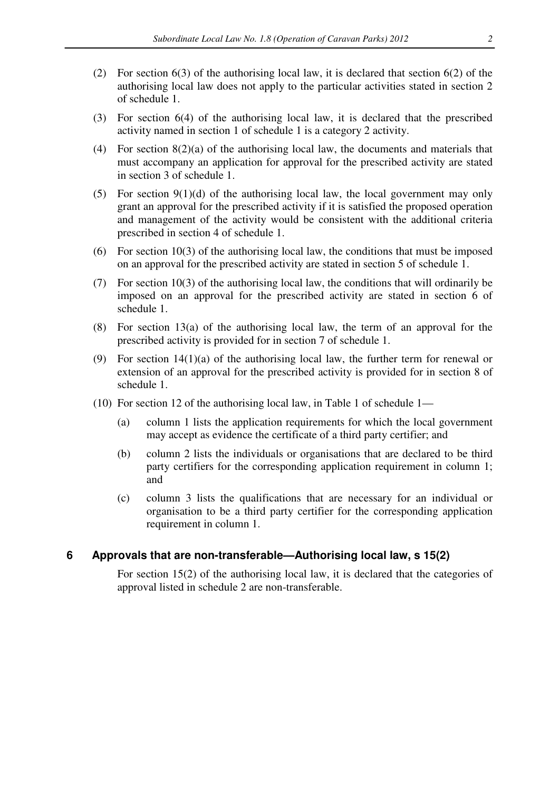- (2) For section 6(3) of the authorising local law, it is declared that section 6(2) of the authorising local law does not apply to the particular activities stated in section 2 of schedule 1.
- (3) For section 6(4) of the authorising local law, it is declared that the prescribed activity named in section 1 of schedule 1 is a category 2 activity.
- (4) For section 8(2)(a) of the authorising local law, the documents and materials that must accompany an application for approval for the prescribed activity are stated in section 3 of schedule 1.
- (5) For section  $9(1)(d)$  of the authorising local law, the local government may only grant an approval for the prescribed activity if it is satisfied the proposed operation and management of the activity would be consistent with the additional criteria prescribed in section 4 of schedule 1.
- (6) For section 10(3) of the authorising local law, the conditions that must be imposed on an approval for the prescribed activity are stated in section 5 of schedule 1.
- (7) For section 10(3) of the authorising local law, the conditions that will ordinarily be imposed on an approval for the prescribed activity are stated in section 6 of schedule 1.
- (8) For section 13(a) of the authorising local law, the term of an approval for the prescribed activity is provided for in section 7 of schedule 1.
- (9) For section 14(1)(a) of the authorising local law, the further term for renewal or extension of an approval for the prescribed activity is provided for in section 8 of schedule 1.
- (10) For section 12 of the authorising local law, in Table 1 of schedule 1—
	- (a) column 1 lists the application requirements for which the local government may accept as evidence the certificate of a third party certifier; and
	- (b) column 2 lists the individuals or organisations that are declared to be third party certifiers for the corresponding application requirement in column 1; and
	- (c) column 3 lists the qualifications that are necessary for an individual or organisation to be a third party certifier for the corresponding application requirement in column 1.

#### **6 Approvals that are non-transferable—Authorising local law, s 15(2)**

For section 15(2) of the authorising local law, it is declared that the categories of approval listed in schedule 2 are non-transferable.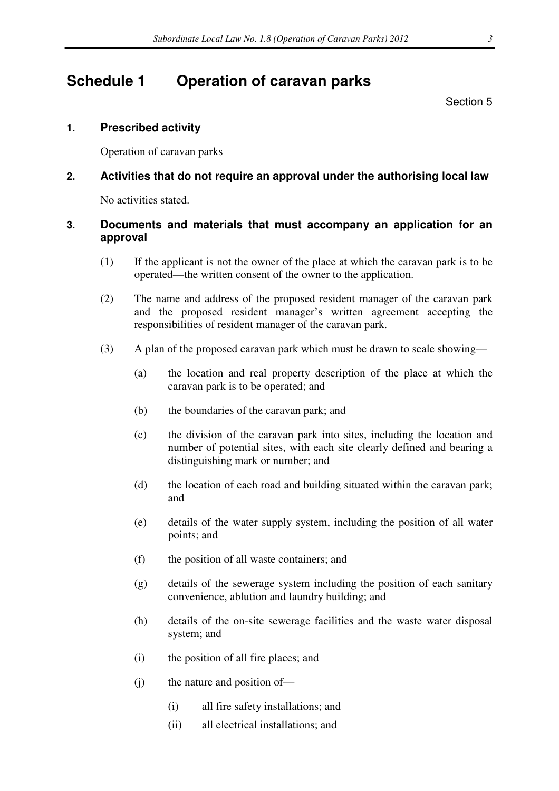## **Schedule 1 Operation of caravan parks**

Section 5

## **1. Prescribed activity**

Operation of caravan parks

## **2. Activities that do not require an approval under the authorising local law**

No activities stated.

## **3. Documents and materials that must accompany an application for an approval**

- (1) If the applicant is not the owner of the place at which the caravan park is to be operated—the written consent of the owner to the application.
- (2) The name and address of the proposed resident manager of the caravan park and the proposed resident manager's written agreement accepting the responsibilities of resident manager of the caravan park.
- (3) A plan of the proposed caravan park which must be drawn to scale showing—
	- (a) the location and real property description of the place at which the caravan park is to be operated; and
	- (b) the boundaries of the caravan park; and
	- (c) the division of the caravan park into sites, including the location and number of potential sites, with each site clearly defined and bearing a distinguishing mark or number; and
	- (d) the location of each road and building situated within the caravan park; and
	- (e) details of the water supply system, including the position of all water points; and
	- (f) the position of all waste containers; and
	- (g) details of the sewerage system including the position of each sanitary convenience, ablution and laundry building; and
	- (h) details of the on-site sewerage facilities and the waste water disposal system; and
	- (i) the position of all fire places; and
	- (j) the nature and position of—
		- (i) all fire safety installations; and
		- (ii) all electrical installations; and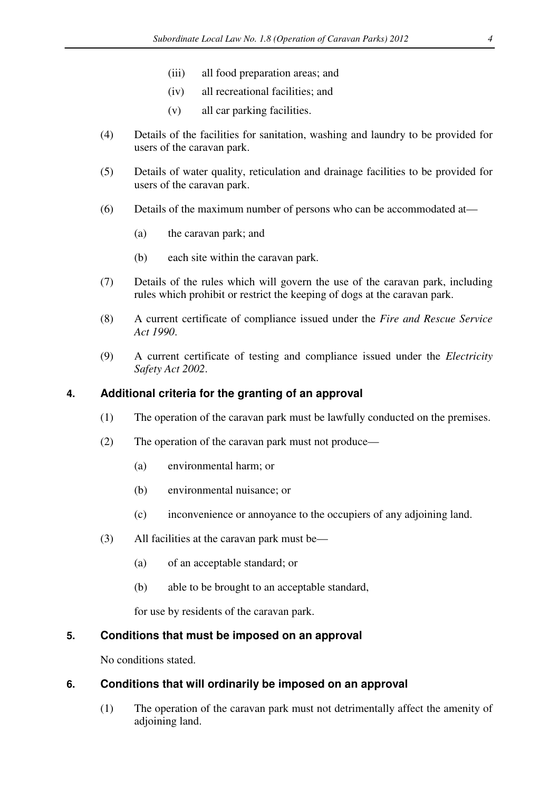- (iii) all food preparation areas; and
- (iv) all recreational facilities; and
- (v) all car parking facilities.
- (4) Details of the facilities for sanitation, washing and laundry to be provided for users of the caravan park.
- (5) Details of water quality, reticulation and drainage facilities to be provided for users of the caravan park.
- (6) Details of the maximum number of persons who can be accommodated at—
	- (a) the caravan park; and
	- (b) each site within the caravan park.
- (7) Details of the rules which will govern the use of the caravan park, including rules which prohibit or restrict the keeping of dogs at the caravan park.
- (8) A current certificate of compliance issued under the *Fire and Rescue Service Act 1990*.
- (9) A current certificate of testing and compliance issued under the *Electricity Safety Act 2002*.

### **4. Additional criteria for the granting of an approval**

- (1) The operation of the caravan park must be lawfully conducted on the premises.
- (2) The operation of the caravan park must not produce—
	- (a) environmental harm; or
	- (b) environmental nuisance; or
	- (c) inconvenience or annoyance to the occupiers of any adjoining land.
- (3) All facilities at the caravan park must be—
	- (a) of an acceptable standard; or
	- (b) able to be brought to an acceptable standard,

for use by residents of the caravan park.

### **5. Conditions that must be imposed on an approval**

No conditions stated.

### **6. Conditions that will ordinarily be imposed on an approval**

(1) The operation of the caravan park must not detrimentally affect the amenity of adjoining land.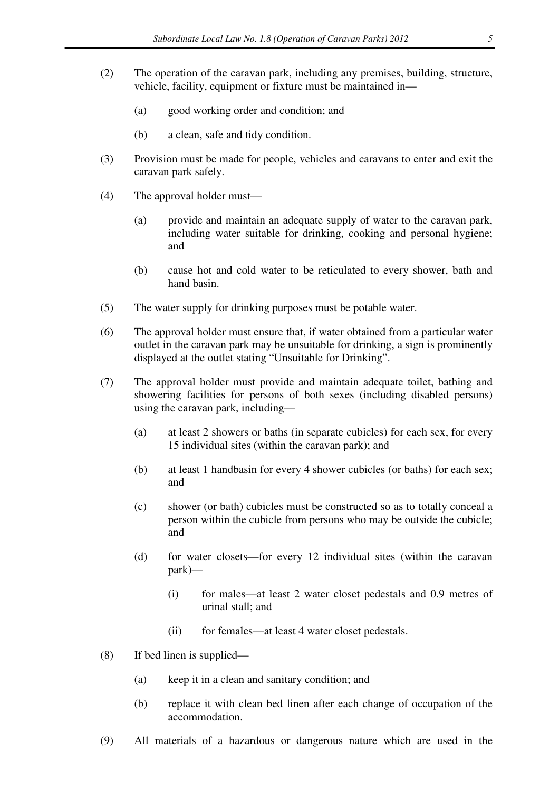- (2) The operation of the caravan park, including any premises, building, structure, vehicle, facility, equipment or fixture must be maintained in—
	- (a) good working order and condition; and
	- (b) a clean, safe and tidy condition.
- (3) Provision must be made for people, vehicles and caravans to enter and exit the caravan park safely.
- (4) The approval holder must—
	- (a) provide and maintain an adequate supply of water to the caravan park, including water suitable for drinking, cooking and personal hygiene; and
	- (b) cause hot and cold water to be reticulated to every shower, bath and hand basin.
- (5) The water supply for drinking purposes must be potable water.
- (6) The approval holder must ensure that, if water obtained from a particular water outlet in the caravan park may be unsuitable for drinking, a sign is prominently displayed at the outlet stating "Unsuitable for Drinking".
- (7) The approval holder must provide and maintain adequate toilet, bathing and showering facilities for persons of both sexes (including disabled persons) using the caravan park, including—
	- (a) at least 2 showers or baths (in separate cubicles) for each sex, for every 15 individual sites (within the caravan park); and
	- (b) at least 1 handbasin for every 4 shower cubicles (or baths) for each sex; and
	- (c) shower (or bath) cubicles must be constructed so as to totally conceal a person within the cubicle from persons who may be outside the cubicle; and
	- (d) for water closets—for every 12 individual sites (within the caravan park)—
		- (i) for males—at least 2 water closet pedestals and 0.9 metres of urinal stall; and
		- (ii) for females—at least 4 water closet pedestals.
- (8) If bed linen is supplied—
	- (a) keep it in a clean and sanitary condition; and
	- (b) replace it with clean bed linen after each change of occupation of the accommodation.
- (9) All materials of a hazardous or dangerous nature which are used in the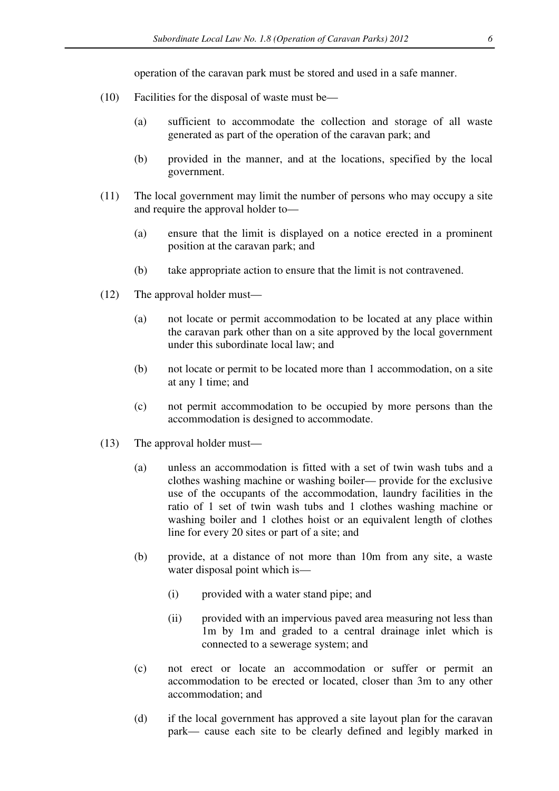operation of the caravan park must be stored and used in a safe manner.

- (10) Facilities for the disposal of waste must be—
	- (a) sufficient to accommodate the collection and storage of all waste generated as part of the operation of the caravan park; and
	- (b) provided in the manner, and at the locations, specified by the local government.
- (11) The local government may limit the number of persons who may occupy a site and require the approval holder to—
	- (a) ensure that the limit is displayed on a notice erected in a prominent position at the caravan park; and
	- (b) take appropriate action to ensure that the limit is not contravened.
- (12) The approval holder must—
	- (a) not locate or permit accommodation to be located at any place within the caravan park other than on a site approved by the local government under this subordinate local law; and
	- (b) not locate or permit to be located more than 1 accommodation, on a site at any 1 time; and
	- (c) not permit accommodation to be occupied by more persons than the accommodation is designed to accommodate.
- (13) The approval holder must—
	- (a) unless an accommodation is fitted with a set of twin wash tubs and a clothes washing machine or washing boiler— provide for the exclusive use of the occupants of the accommodation, laundry facilities in the ratio of 1 set of twin wash tubs and 1 clothes washing machine or washing boiler and 1 clothes hoist or an equivalent length of clothes line for every 20 sites or part of a site; and
	- (b) provide, at a distance of not more than 10m from any site, a waste water disposal point which is—
		- (i) provided with a water stand pipe; and
		- (ii) provided with an impervious paved area measuring not less than 1m by 1m and graded to a central drainage inlet which is connected to a sewerage system; and
	- (c) not erect or locate an accommodation or suffer or permit an accommodation to be erected or located, closer than 3m to any other accommodation; and
	- (d) if the local government has approved a site layout plan for the caravan park— cause each site to be clearly defined and legibly marked in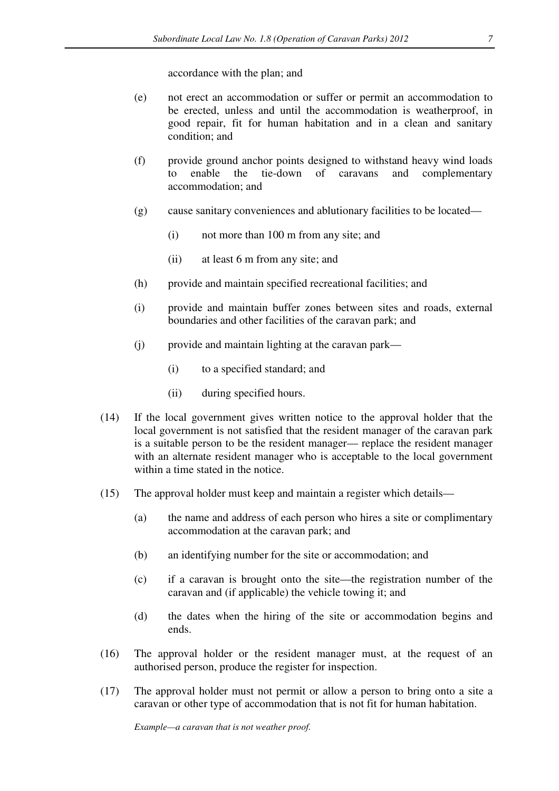accordance with the plan; and

- (e) not erect an accommodation or suffer or permit an accommodation to be erected, unless and until the accommodation is weatherproof, in good repair, fit for human habitation and in a clean and sanitary condition; and
- (f) provide ground anchor points designed to withstand heavy wind loads to enable the tie-down of caravans and complementary accommodation; and
- (g) cause sanitary conveniences and ablutionary facilities to be located—
	- (i) not more than 100 m from any site; and
	- (ii) at least 6 m from any site; and
- (h) provide and maintain specified recreational facilities; and
- (i) provide and maintain buffer zones between sites and roads, external boundaries and other facilities of the caravan park; and
- (j) provide and maintain lighting at the caravan park—
	- (i) to a specified standard; and
	- (ii) during specified hours.
- (14) If the local government gives written notice to the approval holder that the local government is not satisfied that the resident manager of the caravan park is a suitable person to be the resident manager— replace the resident manager with an alternate resident manager who is acceptable to the local government within a time stated in the notice.
- (15) The approval holder must keep and maintain a register which details—
	- (a) the name and address of each person who hires a site or complimentary accommodation at the caravan park; and
	- (b) an identifying number for the site or accommodation; and
	- (c) if a caravan is brought onto the site—the registration number of the caravan and (if applicable) the vehicle towing it; and
	- (d) the dates when the hiring of the site or accommodation begins and ends.
- (16) The approval holder or the resident manager must, at the request of an authorised person, produce the register for inspection.
- (17) The approval holder must not permit or allow a person to bring onto a site a caravan or other type of accommodation that is not fit for human habitation.

*Example—a caravan that is not weather proof.*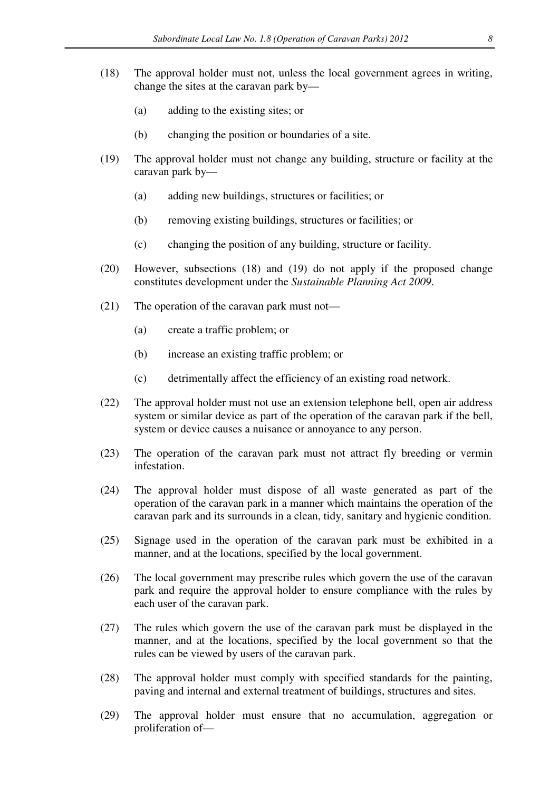- (18) The approval holder must not, unless the local government agrees in writing, change the sites at the caravan park by—
	- (a) adding to the existing sites; or
	- (b) changing the position or boundaries of a site.
- (19) The approval holder must not change any building, structure or facility at the caravan park by—
	- (a) adding new buildings, structures or facilities; or
	- (b) removing existing buildings, structures or facilities; or
	- (c) changing the position of any building, structure or facility.
- (20) However, subsections (18) and (19) do not apply if the proposed change constitutes development under the *Sustainable Planning Act 2009*.
- (21) The operation of the caravan park must not—
	- (a) create a traffic problem; or
	- (b) increase an existing traffic problem; or
	- (c) detrimentally affect the efficiency of an existing road network.
- (22) The approval holder must not use an extension telephone bell, open air address system or similar device as part of the operation of the caravan park if the bell, system or device causes a nuisance or annoyance to any person.
- (23) The operation of the caravan park must not attract fly breeding or vermin infestation.
- (24) The approval holder must dispose of all waste generated as part of the operation of the caravan park in a manner which maintains the operation of the caravan park and its surrounds in a clean, tidy, sanitary and hygienic condition.
- (25) Signage used in the operation of the caravan park must be exhibited in a manner, and at the locations, specified by the local government.
- (26) The local government may prescribe rules which govern the use of the caravan park and require the approval holder to ensure compliance with the rules by each user of the caravan park.
- (27) The rules which govern the use of the caravan park must be displayed in the manner, and at the locations, specified by the local government so that the rules can be viewed by users of the caravan park.
- (28) The approval holder must comply with specified standards for the painting, paving and internal and external treatment of buildings, structures and sites.
- (29) The approval holder must ensure that no accumulation, aggregation or proliferation of—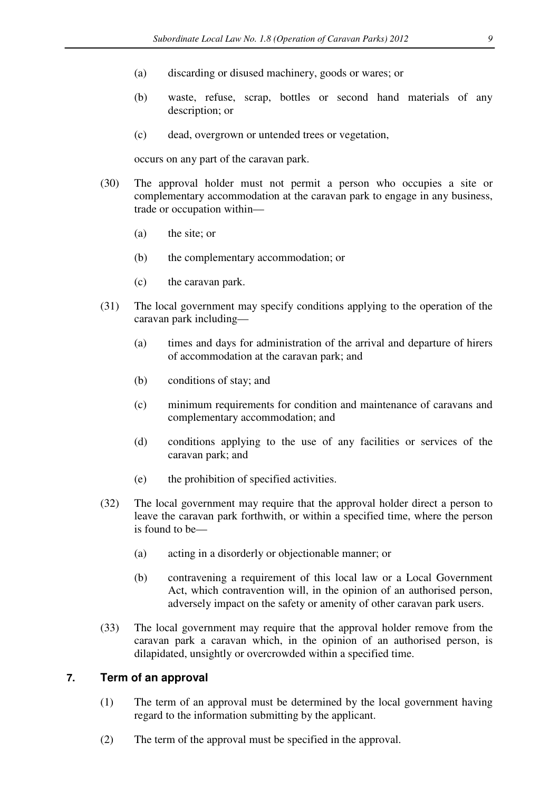- (a) discarding or disused machinery, goods or wares; or
- (b) waste, refuse, scrap, bottles or second hand materials of any description; or
- (c) dead, overgrown or untended trees or vegetation,

occurs on any part of the caravan park.

- (30) The approval holder must not permit a person who occupies a site or complementary accommodation at the caravan park to engage in any business, trade or occupation within—
	- (a) the site; or
	- (b) the complementary accommodation; or
	- (c) the caravan park.
- (31) The local government may specify conditions applying to the operation of the caravan park including—
	- (a) times and days for administration of the arrival and departure of hirers of accommodation at the caravan park; and
	- (b) conditions of stay; and
	- (c) minimum requirements for condition and maintenance of caravans and complementary accommodation; and
	- (d) conditions applying to the use of any facilities or services of the caravan park; and
	- (e) the prohibition of specified activities.
- (32) The local government may require that the approval holder direct a person to leave the caravan park forthwith, or within a specified time, where the person is found to be—
	- (a) acting in a disorderly or objectionable manner; or
	- (b) contravening a requirement of this local law or a Local Government Act, which contravention will, in the opinion of an authorised person, adversely impact on the safety or amenity of other caravan park users.
- (33) The local government may require that the approval holder remove from the caravan park a caravan which, in the opinion of an authorised person, is dilapidated, unsightly or overcrowded within a specified time.

#### **7. Term of an approval**

- (1) The term of an approval must be determined by the local government having regard to the information submitting by the applicant.
- (2) The term of the approval must be specified in the approval.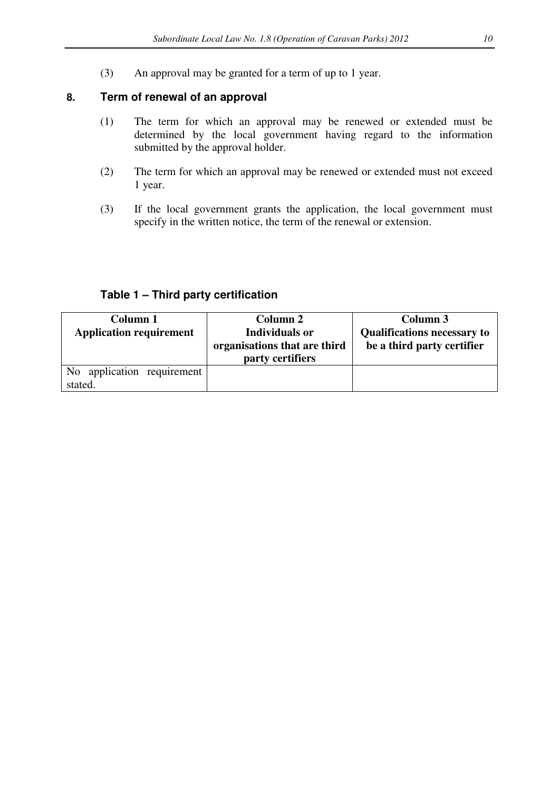(3) An approval may be granted for a term of up to 1 year.

#### **8. Term of renewal of an approval**

- (1) The term for which an approval may be renewed or extended must be determined by the local government having regard to the information submitted by the approval holder.
- (2) The term for which an approval may be renewed or extended must not exceed 1 year.
- (3) If the local government grants the application, the local government must specify in the written notice, the term of the renewal or extension.

| Column 1<br><b>Application requirement</b> | Column 2<br><b>Individuals or</b><br>organisations that are third<br>party certifiers | Column 3<br><b>Qualifications necessary to</b><br>be a third party certifier |
|--------------------------------------------|---------------------------------------------------------------------------------------|------------------------------------------------------------------------------|
| No application requirement<br>stated.      |                                                                                       |                                                                              |

## **Table 1 – Third party certification**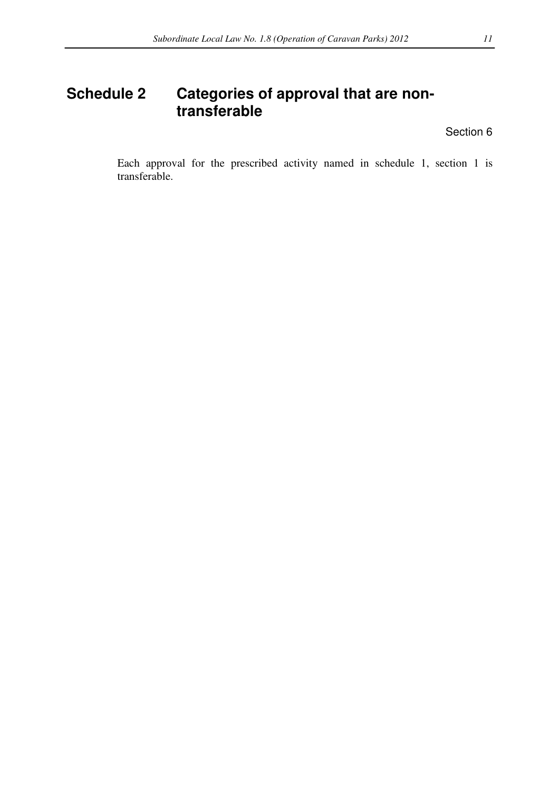## **Schedule 2 Categories of approval that are nontransferable**

Section 6

Each approval for the prescribed activity named in schedule 1, section 1 is transferable.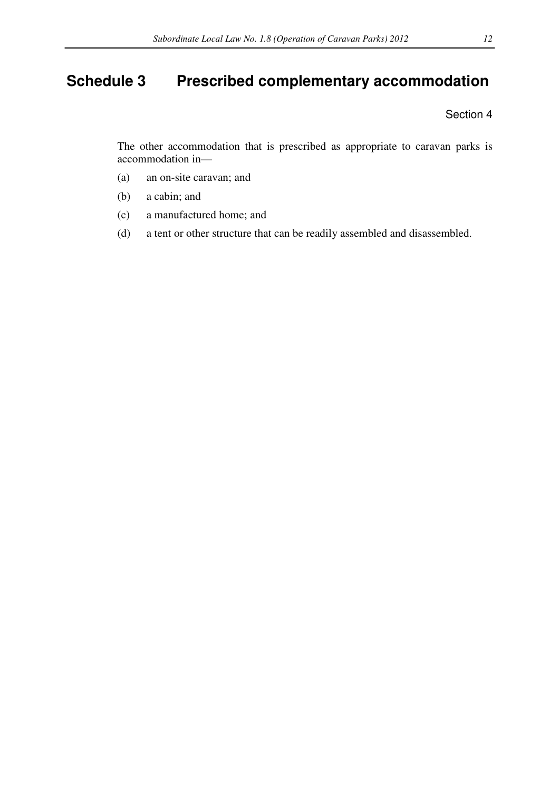# **Schedule 3 Prescribed complementary accommodation**

Section 4

The other accommodation that is prescribed as appropriate to caravan parks is accommodation in—

- (a) an on-site caravan; and
- (b) a cabin; and
- (c) a manufactured home; and
- (d) a tent or other structure that can be readily assembled and disassembled.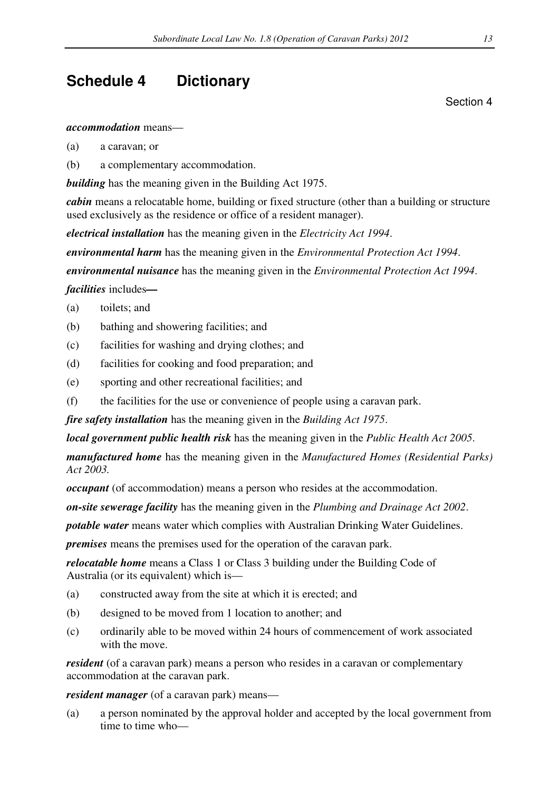## **Schedule 4 Dictionary**

Section 4

*accommodation* means—

- (a) a caravan; or
- (b) a complementary accommodation.

*building* has the meaning given in the Building Act 1975.

*cabin* means a relocatable home, building or fixed structure (other than a building or structure used exclusively as the residence or office of a resident manager).

*electrical installation* has the meaning given in the *Electricity Act 1994*.

*environmental harm* has the meaning given in the *Environmental Protection Act 1994*.

*environmental nuisance* has the meaning given in the *Environmental Protection Act 1994*.

*facilities* includes*—* 

- (a) toilets; and
- (b) bathing and showering facilities; and
- (c) facilities for washing and drying clothes; and
- (d) facilities for cooking and food preparation; and
- (e) sporting and other recreational facilities; and
- (f) the facilities for the use or convenience of people using a caravan park.

*fire safety installation* has the meaning given in the *Building Act 1975*.

*local government public health risk* has the meaning given in the *Public Health Act 2005*.

*manufactured home* has the meaning given in the *Manufactured Homes (Residential Parks) Act 2003.*

*occupant* (of accommodation) means a person who resides at the accommodation.

*on-site sewerage facility* has the meaning given in the *Plumbing and Drainage Act 2002*.

*potable water* means water which complies with Australian Drinking Water Guidelines.

*premises* means the premises used for the operation of the caravan park.

*relocatable home* means a Class 1 or Class 3 building under the Building Code of Australia (or its equivalent) which is—

- (a) constructed away from the site at which it is erected; and
- (b) designed to be moved from 1 location to another; and
- (c) ordinarily able to be moved within 24 hours of commencement of work associated with the move.

*resident* (of a caravan park) means a person who resides in a caravan or complementary accommodation at the caravan park.

*resident manager* (of a caravan park) means—

(a) a person nominated by the approval holder and accepted by the local government from time to time who—